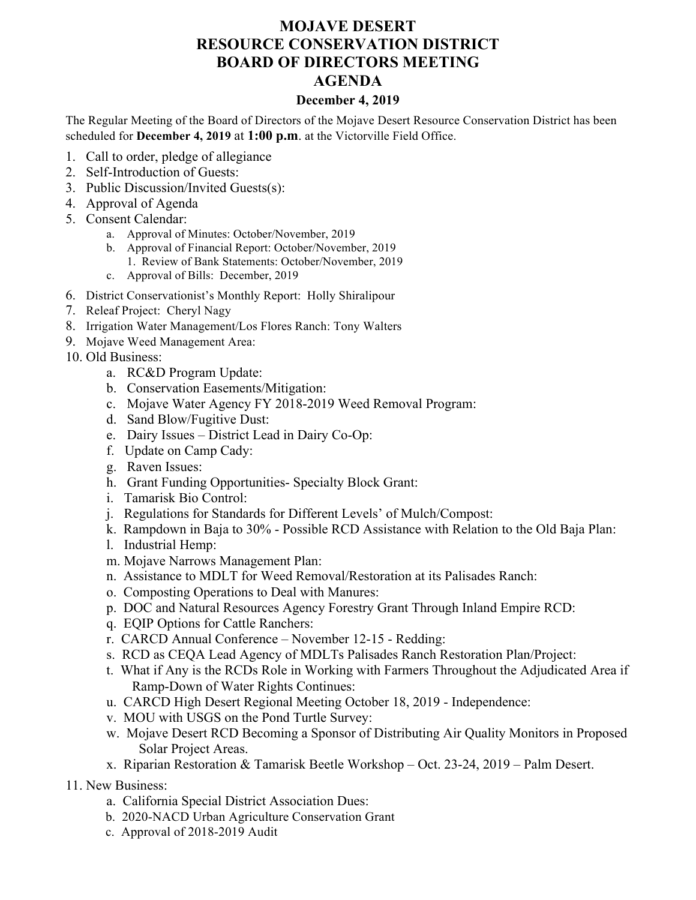## **MOJAVE DESERT RESOURCE CONSERVATION DISTRICT BOARD OF DIRECTORS MEETING AGENDA**

## **December 4, 2019**

The Regular Meeting of the Board of Directors of the Mojave Desert Resource Conservation District has been scheduled for **December 4, 2019** at **1:00 p.m**. at the Victorville Field Office.

- 1. Call to order, pledge of allegiance
- 2. Self-Introduction of Guests:
- 3. Public Discussion/Invited Guests(s):
- 4. Approval of Agenda
- 5. Consent Calendar:
	- a. Approval of Minutes: October/November, 2019
	- b. Approval of Financial Report: October/November, 2019
	- 1. Review of Bank Statements: October/November, 2019
	- c. Approval of Bills: December, 2019
- 6. District Conservationist's Monthly Report: Holly Shiralipour
- 7. Releaf Project: Cheryl Nagy
- 8. Irrigation Water Management/Los Flores Ranch: Tony Walters
- 9. Mojave Weed Management Area:
- 10. Old Business:
	- a. RC&D Program Update:
	- b. Conservation Easements/Mitigation:
	- c. Mojave Water Agency FY 2018-2019 Weed Removal Program:
	- d. Sand Blow/Fugitive Dust:
	- e. Dairy Issues District Lead in Dairy Co-Op:
	- f. Update on Camp Cady:
	- g. Raven Issues:
	- h. Grant Funding Opportunities- Specialty Block Grant:
	- i. Tamarisk Bio Control:
	- j. Regulations for Standards for Different Levels' of Mulch/Compost:
	- k. Rampdown in Baja to 30% Possible RCD Assistance with Relation to the Old Baja Plan:
	- l. Industrial Hemp:
	- m. Mojave Narrows Management Plan:
	- n. Assistance to MDLT for Weed Removal/Restoration at its Palisades Ranch:
	- o. Composting Operations to Deal with Manures:
	- p. DOC and Natural Resources Agency Forestry Grant Through Inland Empire RCD:
	- q. EQIP Options for Cattle Ranchers:
	- r. CARCD Annual Conference November 12-15 Redding:
	- s. RCD as CEQA Lead Agency of MDLTs Palisades Ranch Restoration Plan/Project:
	- t. What if Any is the RCDs Role in Working with Farmers Throughout the Adjudicated Area if Ramp-Down of Water Rights Continues:
	- u. CARCD High Desert Regional Meeting October 18, 2019 Independence:
	- v. MOU with USGS on the Pond Turtle Survey:
	- w. Mojave Desert RCD Becoming a Sponsor of Distributing Air Quality Monitors in Proposed Solar Project Areas.
	- x. Riparian Restoration & Tamarisk Beetle Workshop Oct. 23-24, 2019 Palm Desert.
- 11. New Business:
	- a. California Special District Association Dues:
	- b. 2020-NACD Urban Agriculture Conservation Grant
	- c. Approval of 2018-2019 Audit